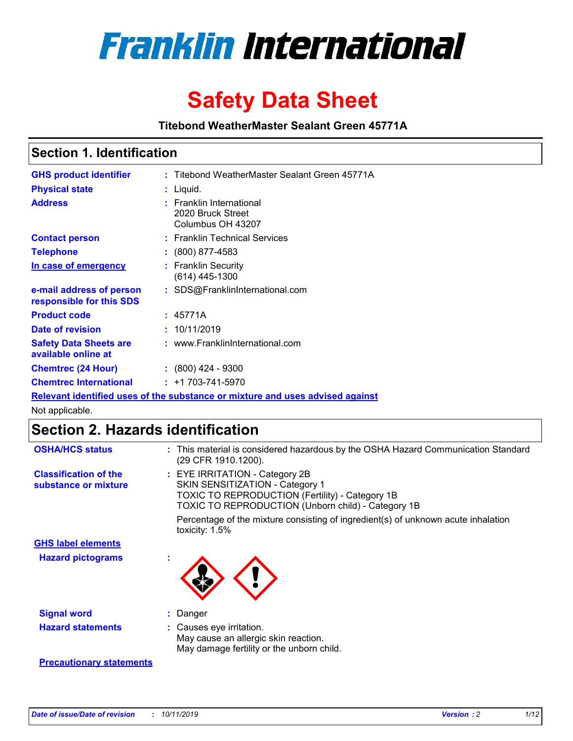

# **Safety Data Sheet**

**Titebond WeatherMaster Sealant Green 45771A**

### **Section 1. Identification**

| <b>GHS product identifier</b>                                                 |  | : Titebond WeatherMaster Sealant Green 45771A                      |  |  |  |
|-------------------------------------------------------------------------------|--|--------------------------------------------------------------------|--|--|--|
| <b>Physical state</b>                                                         |  | : Liquid.                                                          |  |  |  |
| <b>Address</b>                                                                |  | : Franklin International<br>2020 Bruck Street<br>Columbus OH 43207 |  |  |  |
| <b>Contact person</b>                                                         |  | : Franklin Technical Services                                      |  |  |  |
| <b>Telephone</b>                                                              |  | $\colon$ (800) 877-4583                                            |  |  |  |
| <u>In case of emergency</u>                                                   |  | : Franklin Security<br>$(614)$ 445-1300                            |  |  |  |
| e-mail address of person<br>responsible for this SDS                          |  | : SDS@FranklinInternational.com                                    |  |  |  |
| <b>Product code</b>                                                           |  | : 45771A                                                           |  |  |  |
| Date of revision                                                              |  | : 10/11/2019                                                       |  |  |  |
| <b>Safety Data Sheets are</b><br>available online at                          |  | : www.FranklinInternational.com                                    |  |  |  |
| <b>Chemtrec (24 Hour)</b>                                                     |  | $\div$ (800) 424 - 9300                                            |  |  |  |
| <b>Chemtrec International</b>                                                 |  | $: +1703 - 741 - 5970$                                             |  |  |  |
| Relevant identified uses of the substance or mixture and uses advised against |  |                                                                    |  |  |  |

Not applicable.

## **Section 2. Hazards identification**

| <b>OSHA/HCS status</b>                               | : This material is considered hazardous by the OSHA Hazard Communication Standard<br>(29 CFR 1910.1200).                                                                          |
|------------------------------------------------------|-----------------------------------------------------------------------------------------------------------------------------------------------------------------------------------|
| <b>Classification of the</b><br>substance or mixture | : EYE IRRITATION - Category 2B<br>SKIN SENSITIZATION - Category 1<br><b>TOXIC TO REPRODUCTION (Fertility) - Category 1B</b><br>TOXIC TO REPRODUCTION (Unborn child) - Category 1B |
|                                                      | Percentage of the mixture consisting of ingredient(s) of unknown acute inhalation<br>toxicity: $1.5\%$                                                                            |
| <b>GHS label elements</b>                            |                                                                                                                                                                                   |
| <b>Hazard pictograms</b>                             |                                                                                                                                                                                   |
| <b>Signal word</b>                                   | : Danger                                                                                                                                                                          |
| <b>Hazard statements</b>                             | : Causes eye irritation.<br>May cause an allergic skin reaction.<br>May damage fertility or the unborn child.                                                                     |
| <b>Precautionary statements</b>                      |                                                                                                                                                                                   |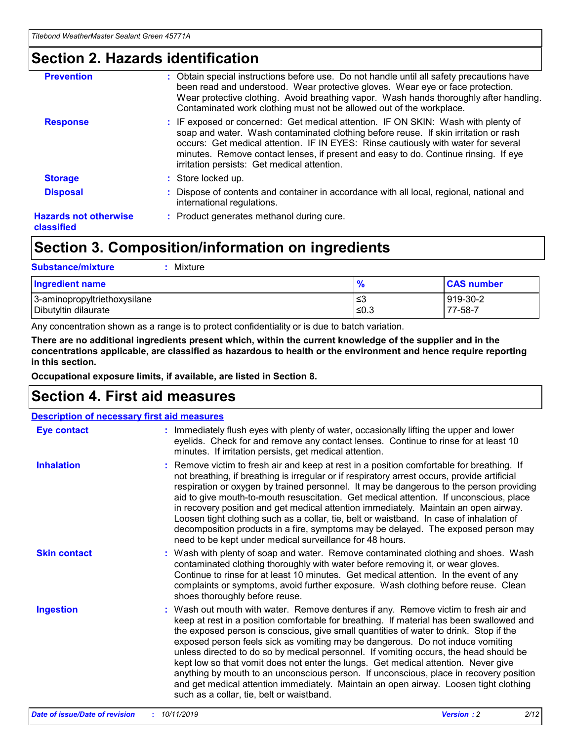### **Section 2. Hazards identification**

| <b>Prevention</b>                          | : Obtain special instructions before use. Do not handle until all safety precautions have<br>been read and understood. Wear protective gloves. Wear eye or face protection.<br>Wear protective clothing. Avoid breathing vapor. Wash hands thoroughly after handling.<br>Contaminated work clothing must not be allowed out of the workplace.                                                        |
|--------------------------------------------|------------------------------------------------------------------------------------------------------------------------------------------------------------------------------------------------------------------------------------------------------------------------------------------------------------------------------------------------------------------------------------------------------|
| <b>Response</b>                            | : IF exposed or concerned: Get medical attention. IF ON SKIN: Wash with plenty of<br>soap and water. Wash contaminated clothing before reuse. If skin irritation or rash<br>occurs: Get medical attention. IF IN EYES: Rinse cautiously with water for several<br>minutes. Remove contact lenses, if present and easy to do. Continue rinsing. If eye<br>irritation persists: Get medical attention. |
| <b>Storage</b>                             | : Store locked up.                                                                                                                                                                                                                                                                                                                                                                                   |
| <b>Disposal</b>                            | : Dispose of contents and container in accordance with all local, regional, national and<br>international regulations.                                                                                                                                                                                                                                                                               |
| <b>Hazards not otherwise</b><br>classified | : Product generates methanol during cure.                                                                                                                                                                                                                                                                                                                                                            |
|                                            |                                                                                                                                                                                                                                                                                                                                                                                                      |

### **Section 3. Composition/information on ingredients**

| <b>Substance/mixture</b><br>: Mixture                |               |                     |
|------------------------------------------------------|---------------|---------------------|
| Ingredient name                                      | $\frac{9}{6}$ | <b>CAS number</b>   |
| 3-aminopropyltriethoxysilane<br>Dibutyltin dilaurate | צ≥<br>≤0.3    | 919-30-2<br>77-58-7 |

Any concentration shown as a range is to protect confidentiality or is due to batch variation.

**There are no additional ingredients present which, within the current knowledge of the supplier and in the concentrations applicable, are classified as hazardous to health or the environment and hence require reporting in this section.**

**Occupational exposure limits, if available, are listed in Section 8.**

### **Section 4. First aid measures**

| <b>Description of necessary first aid measures</b> |                                                                                                                                                                                                                                                                                                                                                                                                                                                                                                                                                                                                                                                                                                                                                                           |  |  |  |
|----------------------------------------------------|---------------------------------------------------------------------------------------------------------------------------------------------------------------------------------------------------------------------------------------------------------------------------------------------------------------------------------------------------------------------------------------------------------------------------------------------------------------------------------------------------------------------------------------------------------------------------------------------------------------------------------------------------------------------------------------------------------------------------------------------------------------------------|--|--|--|
| <b>Eye contact</b>                                 | : Immediately flush eyes with plenty of water, occasionally lifting the upper and lower<br>eyelids. Check for and remove any contact lenses. Continue to rinse for at least 10<br>minutes. If irritation persists, get medical attention.                                                                                                                                                                                                                                                                                                                                                                                                                                                                                                                                 |  |  |  |
| <b>Inhalation</b>                                  | : Remove victim to fresh air and keep at rest in a position comfortable for breathing. If<br>not breathing, if breathing is irregular or if respiratory arrest occurs, provide artificial<br>respiration or oxygen by trained personnel. It may be dangerous to the person providing<br>aid to give mouth-to-mouth resuscitation. Get medical attention. If unconscious, place<br>in recovery position and get medical attention immediately. Maintain an open airway.<br>Loosen tight clothing such as a collar, tie, belt or waistband. In case of inhalation of<br>decomposition products in a fire, symptoms may be delayed. The exposed person may<br>need to be kept under medical surveillance for 48 hours.                                                       |  |  |  |
| <b>Skin contact</b>                                | : Wash with plenty of soap and water. Remove contaminated clothing and shoes. Wash<br>contaminated clothing thoroughly with water before removing it, or wear gloves.<br>Continue to rinse for at least 10 minutes. Get medical attention. In the event of any<br>complaints or symptoms, avoid further exposure. Wash clothing before reuse. Clean<br>shoes thoroughly before reuse.                                                                                                                                                                                                                                                                                                                                                                                     |  |  |  |
| <b>Ingestion</b>                                   | : Wash out mouth with water. Remove dentures if any. Remove victim to fresh air and<br>keep at rest in a position comfortable for breathing. If material has been swallowed and<br>the exposed person is conscious, give small quantities of water to drink. Stop if the<br>exposed person feels sick as vomiting may be dangerous. Do not induce vomiting<br>unless directed to do so by medical personnel. If vomiting occurs, the head should be<br>kept low so that vomit does not enter the lungs. Get medical attention. Never give<br>anything by mouth to an unconscious person. If unconscious, place in recovery position<br>and get medical attention immediately. Maintain an open airway. Loosen tight clothing<br>such as a collar, tie, belt or waistband. |  |  |  |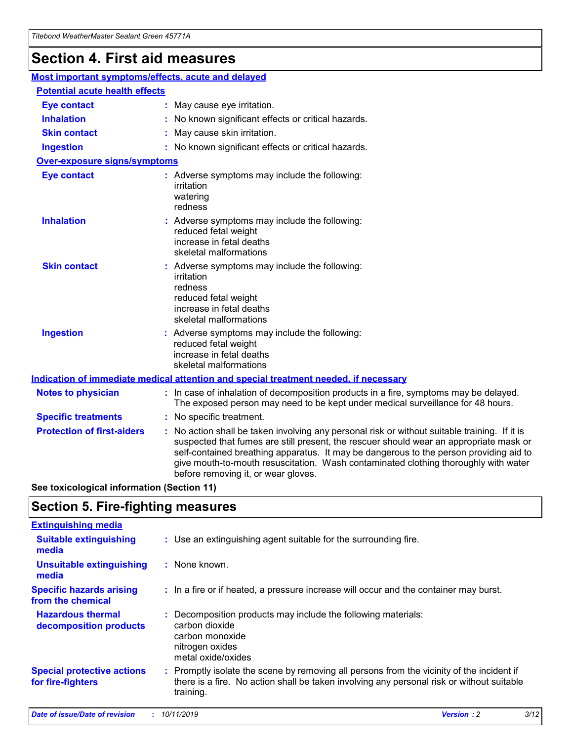## **Section 4. First aid measures**

| Most important symptoms/effects, acute and delayed |                                                                                                                                                                                                                                                                                                                                                                                                                 |
|----------------------------------------------------|-----------------------------------------------------------------------------------------------------------------------------------------------------------------------------------------------------------------------------------------------------------------------------------------------------------------------------------------------------------------------------------------------------------------|
| <b>Potential acute health effects</b>              |                                                                                                                                                                                                                                                                                                                                                                                                                 |
| <b>Eye contact</b>                                 | : May cause eye irritation.                                                                                                                                                                                                                                                                                                                                                                                     |
| <b>Inhalation</b>                                  | : No known significant effects or critical hazards.                                                                                                                                                                                                                                                                                                                                                             |
| <b>Skin contact</b>                                | : May cause skin irritation.                                                                                                                                                                                                                                                                                                                                                                                    |
| <b>Ingestion</b>                                   | : No known significant effects or critical hazards.                                                                                                                                                                                                                                                                                                                                                             |
| <b>Over-exposure signs/symptoms</b>                |                                                                                                                                                                                                                                                                                                                                                                                                                 |
| <b>Eye contact</b>                                 | : Adverse symptoms may include the following:<br>irritation<br>watering<br>redness                                                                                                                                                                                                                                                                                                                              |
| <b>Inhalation</b>                                  | : Adverse symptoms may include the following:<br>reduced fetal weight<br>increase in fetal deaths<br>skeletal malformations                                                                                                                                                                                                                                                                                     |
| <b>Skin contact</b>                                | : Adverse symptoms may include the following:<br>irritation<br>redness<br>reduced fetal weight<br>increase in fetal deaths<br>skeletal malformations                                                                                                                                                                                                                                                            |
| <b>Ingestion</b>                                   | : Adverse symptoms may include the following:<br>reduced fetal weight<br>increase in fetal deaths<br>skeletal malformations                                                                                                                                                                                                                                                                                     |
|                                                    | <b>Indication of immediate medical attention and special treatment needed, if necessary</b>                                                                                                                                                                                                                                                                                                                     |
| <b>Notes to physician</b>                          | : In case of inhalation of decomposition products in a fire, symptoms may be delayed.<br>The exposed person may need to be kept under medical surveillance for 48 hours.                                                                                                                                                                                                                                        |
| <b>Specific treatments</b>                         | : No specific treatment.                                                                                                                                                                                                                                                                                                                                                                                        |
| <b>Protection of first-aiders</b>                  | : No action shall be taken involving any personal risk or without suitable training. If it is<br>suspected that fumes are still present, the rescuer should wear an appropriate mask or<br>self-contained breathing apparatus. It may be dangerous to the person providing aid to<br>give mouth-to-mouth resuscitation. Wash contaminated clothing thoroughly with water<br>before removing it, or wear gloves. |

**See toxicological information (Section 11)**

### **Section 5. Fire-fighting measures**

| <b>Extinguishing media</b>                             |                                                                                                                                                                                                     |
|--------------------------------------------------------|-----------------------------------------------------------------------------------------------------------------------------------------------------------------------------------------------------|
| <b>Suitable extinguishing</b><br>media                 | : Use an extinguishing agent suitable for the surrounding fire.                                                                                                                                     |
| <b>Unsuitable extinguishing</b><br>media               | : None known.                                                                                                                                                                                       |
| <b>Specific hazards arising</b><br>from the chemical   | : In a fire or if heated, a pressure increase will occur and the container may burst.                                                                                                               |
| <b>Hazardous thermal</b><br>decomposition products     | : Decomposition products may include the following materials:<br>carbon dioxide<br>carbon monoxide<br>nitrogen oxides<br>metal oxide/oxides                                                         |
| <b>Special protective actions</b><br>for fire-fighters | : Promptly isolate the scene by removing all persons from the vicinity of the incident if<br>there is a fire. No action shall be taken involving any personal risk or without suitable<br>training. |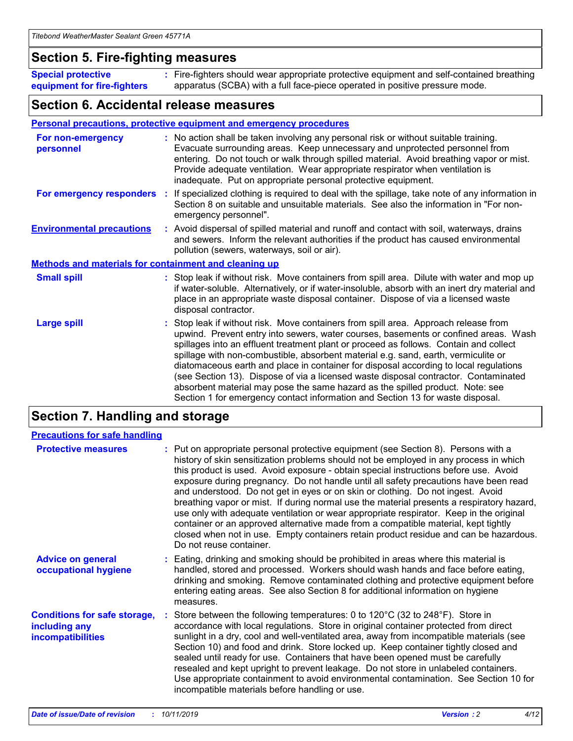### **Section 5. Fire-fighting measures**

**Special protective equipment for fire-fighters** Fire-fighters should wear appropriate protective equipment and self-contained breathing **:** apparatus (SCBA) with a full face-piece operated in positive pressure mode.

### **Section 6. Accidental release measures**

#### **Personal precautions, protective equipment and emergency procedures**

| For non-emergency<br>personnel                               |  | : No action shall be taken involving any personal risk or without suitable training.<br>Evacuate surrounding areas. Keep unnecessary and unprotected personnel from<br>entering. Do not touch or walk through spilled material. Avoid breathing vapor or mist.<br>Provide adequate ventilation. Wear appropriate respirator when ventilation is<br>inadequate. Put on appropriate personal protective equipment.                                                                                                                                                                                                                                                                                             |  |  |
|--------------------------------------------------------------|--|--------------------------------------------------------------------------------------------------------------------------------------------------------------------------------------------------------------------------------------------------------------------------------------------------------------------------------------------------------------------------------------------------------------------------------------------------------------------------------------------------------------------------------------------------------------------------------------------------------------------------------------------------------------------------------------------------------------|--|--|
| For emergency responders                                     |  | : If specialized clothing is required to deal with the spillage, take note of any information in<br>Section 8 on suitable and unsuitable materials. See also the information in "For non-<br>emergency personnel".                                                                                                                                                                                                                                                                                                                                                                                                                                                                                           |  |  |
| <b>Environmental precautions</b>                             |  | : Avoid dispersal of spilled material and runoff and contact with soil, waterways, drains<br>and sewers. Inform the relevant authorities if the product has caused environmental<br>pollution (sewers, waterways, soil or air).                                                                                                                                                                                                                                                                                                                                                                                                                                                                              |  |  |
| <b>Methods and materials for containment and cleaning up</b> |  |                                                                                                                                                                                                                                                                                                                                                                                                                                                                                                                                                                                                                                                                                                              |  |  |
| <b>Small spill</b>                                           |  | : Stop leak if without risk. Move containers from spill area. Dilute with water and mop up<br>if water-soluble. Alternatively, or if water-insoluble, absorb with an inert dry material and<br>place in an appropriate waste disposal container. Dispose of via a licensed waste<br>disposal contractor.                                                                                                                                                                                                                                                                                                                                                                                                     |  |  |
| <b>Large spill</b>                                           |  | : Stop leak if without risk. Move containers from spill area. Approach release from<br>upwind. Prevent entry into sewers, water courses, basements or confined areas. Wash<br>spillages into an effluent treatment plant or proceed as follows. Contain and collect<br>spillage with non-combustible, absorbent material e.g. sand, earth, vermiculite or<br>diatomaceous earth and place in container for disposal according to local regulations<br>(see Section 13). Dispose of via a licensed waste disposal contractor. Contaminated<br>absorbent material may pose the same hazard as the spilled product. Note: see<br>Section 1 for emergency contact information and Section 13 for waste disposal. |  |  |

### **Section 7. Handling and storage**

| <b>Precautions for safe handling</b>                                             |                                                                                                                                                                                                                                                                                                                                                                                                                                                                                                                                                                                                                                                                                                                                                                                                                                                  |
|----------------------------------------------------------------------------------|--------------------------------------------------------------------------------------------------------------------------------------------------------------------------------------------------------------------------------------------------------------------------------------------------------------------------------------------------------------------------------------------------------------------------------------------------------------------------------------------------------------------------------------------------------------------------------------------------------------------------------------------------------------------------------------------------------------------------------------------------------------------------------------------------------------------------------------------------|
| <b>Protective measures</b>                                                       | : Put on appropriate personal protective equipment (see Section 8). Persons with a<br>history of skin sensitization problems should not be employed in any process in which<br>this product is used. Avoid exposure - obtain special instructions before use. Avoid<br>exposure during pregnancy. Do not handle until all safety precautions have been read<br>and understood. Do not get in eyes or on skin or clothing. Do not ingest. Avoid<br>breathing vapor or mist. If during normal use the material presents a respiratory hazard,<br>use only with adequate ventilation or wear appropriate respirator. Keep in the original<br>container or an approved alternative made from a compatible material, kept tightly<br>closed when not in use. Empty containers retain product residue and can be hazardous.<br>Do not reuse container. |
| <b>Advice on general</b><br>occupational hygiene                                 | : Eating, drinking and smoking should be prohibited in areas where this material is<br>handled, stored and processed. Workers should wash hands and face before eating,<br>drinking and smoking. Remove contaminated clothing and protective equipment before<br>entering eating areas. See also Section 8 for additional information on hygiene<br>measures.                                                                                                                                                                                                                                                                                                                                                                                                                                                                                    |
| <b>Conditions for safe storage,</b><br>including any<br><b>incompatibilities</b> | Store between the following temperatures: 0 to 120°C (32 to 248°F). Store in<br>accordance with local regulations. Store in original container protected from direct<br>sunlight in a dry, cool and well-ventilated area, away from incompatible materials (see<br>Section 10) and food and drink. Store locked up. Keep container tightly closed and<br>sealed until ready for use. Containers that have been opened must be carefully<br>resealed and kept upright to prevent leakage. Do not store in unlabeled containers.<br>Use appropriate containment to avoid environmental contamination. See Section 10 for<br>incompatible materials before handling or use.                                                                                                                                                                         |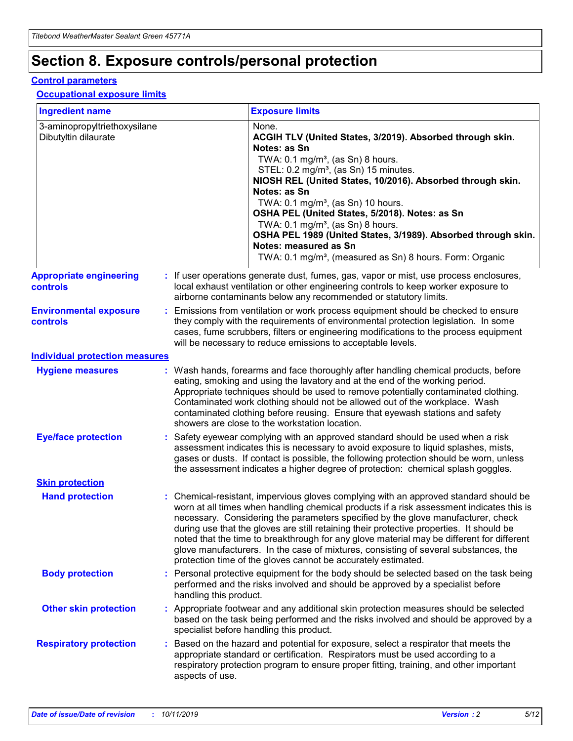## **Section 8. Exposure controls/personal protection**

#### **Control parameters**

#### **Occupational exposure limits**

| <b>Ingredient name</b>                               |    |                        | <b>Exposure limits</b>                                                                                                                                                                                                                                                                                                                                                                                                                                                                                                                                                                                                 |
|------------------------------------------------------|----|------------------------|------------------------------------------------------------------------------------------------------------------------------------------------------------------------------------------------------------------------------------------------------------------------------------------------------------------------------------------------------------------------------------------------------------------------------------------------------------------------------------------------------------------------------------------------------------------------------------------------------------------------|
| 3-aminopropyltriethoxysilane<br>Dibutyltin dilaurate |    |                        | None.<br>ACGIH TLV (United States, 3/2019). Absorbed through skin.<br>Notes: as Sn<br>TWA: $0.1 \text{ mg/m}^3$ , (as Sn) 8 hours.<br>STEL: 0.2 mg/m <sup>3</sup> , (as Sn) 15 minutes.<br>NIOSH REL (United States, 10/2016). Absorbed through skin.<br>Notes: as Sn<br>TWA: 0.1 mg/m <sup>3</sup> , (as Sn) 10 hours.<br>OSHA PEL (United States, 5/2018). Notes: as Sn<br>TWA: $0.1 \text{ mg/m}^3$ , (as Sn) 8 hours.<br>OSHA PEL 1989 (United States, 3/1989). Absorbed through skin.<br>Notes: measured as Sn<br>TWA: 0.1 mg/m <sup>3</sup> , (measured as Sn) 8 hours. Form: Organic                            |
| <b>Appropriate engineering</b><br>controls           |    |                        | : If user operations generate dust, fumes, gas, vapor or mist, use process enclosures,<br>local exhaust ventilation or other engineering controls to keep worker exposure to<br>airborne contaminants below any recommended or statutory limits.                                                                                                                                                                                                                                                                                                                                                                       |
| <b>Environmental exposure</b><br>controls            |    |                        | Emissions from ventilation or work process equipment should be checked to ensure<br>they comply with the requirements of environmental protection legislation. In some<br>cases, fume scrubbers, filters or engineering modifications to the process equipment<br>will be necessary to reduce emissions to acceptable levels.                                                                                                                                                                                                                                                                                          |
| <b>Individual protection measures</b>                |    |                        |                                                                                                                                                                                                                                                                                                                                                                                                                                                                                                                                                                                                                        |
| <b>Hygiene measures</b>                              |    |                        | : Wash hands, forearms and face thoroughly after handling chemical products, before<br>eating, smoking and using the lavatory and at the end of the working period.<br>Appropriate techniques should be used to remove potentially contaminated clothing.<br>Contaminated work clothing should not be allowed out of the workplace. Wash<br>contaminated clothing before reusing. Ensure that eyewash stations and safety<br>showers are close to the workstation location.                                                                                                                                            |
| <b>Eye/face protection</b>                           |    |                        | : Safety eyewear complying with an approved standard should be used when a risk<br>assessment indicates this is necessary to avoid exposure to liquid splashes, mists,<br>gases or dusts. If contact is possible, the following protection should be worn, unless<br>the assessment indicates a higher degree of protection: chemical splash goggles.                                                                                                                                                                                                                                                                  |
| <b>Skin protection</b>                               |    |                        |                                                                                                                                                                                                                                                                                                                                                                                                                                                                                                                                                                                                                        |
| <b>Hand protection</b>                               |    |                        | : Chemical-resistant, impervious gloves complying with an approved standard should be<br>worn at all times when handling chemical products if a risk assessment indicates this is<br>necessary. Considering the parameters specified by the glove manufacturer, check<br>during use that the gloves are still retaining their protective properties. It should be<br>noted that the time to breakthrough for any glove material may be different for different<br>glove manufacturers. In the case of mixtures, consisting of several substances, the<br>protection time of the gloves cannot be accurately estimated. |
| <b>Body protection</b>                               |    | handling this product. | Personal protective equipment for the body should be selected based on the task being<br>performed and the risks involved and should be approved by a specialist before                                                                                                                                                                                                                                                                                                                                                                                                                                                |
| <b>Other skin protection</b>                         |    |                        | : Appropriate footwear and any additional skin protection measures should be selected<br>based on the task being performed and the risks involved and should be approved by a<br>specialist before handling this product.                                                                                                                                                                                                                                                                                                                                                                                              |
| <b>Respiratory protection</b>                        | ÷. | aspects of use.        | Based on the hazard and potential for exposure, select a respirator that meets the<br>appropriate standard or certification. Respirators must be used according to a<br>respiratory protection program to ensure proper fitting, training, and other important                                                                                                                                                                                                                                                                                                                                                         |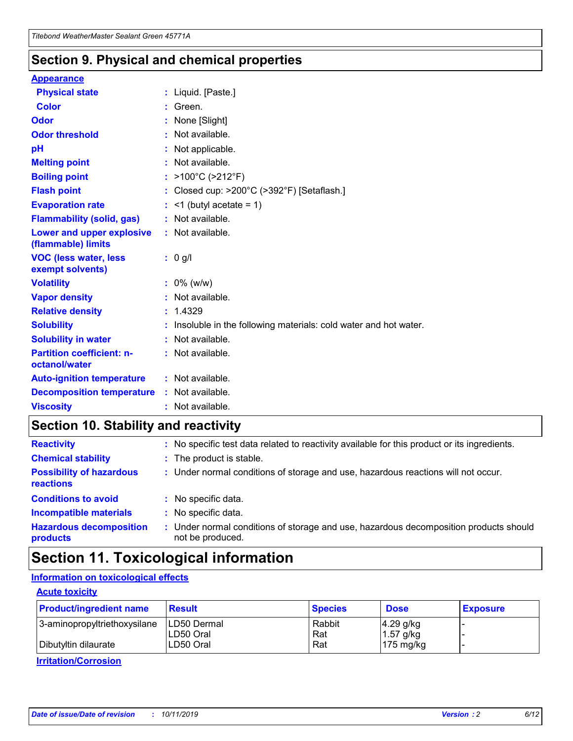### **Section 9. Physical and chemical properties**

#### **Appearance**

| <b>Physical state</b>                             | : Liquid. [Paste.]                                              |
|---------------------------------------------------|-----------------------------------------------------------------|
| Color                                             | Green.                                                          |
| Odor                                              | : None [Slight]                                                 |
| <b>Odor threshold</b>                             | $:$ Not available.                                              |
| рH                                                | : Not applicable.                                               |
| <b>Melting point</b>                              | : Not available.                                                |
| <b>Boiling point</b>                              | : >100°C (>212°F)                                               |
| <b>Flash point</b>                                | : Closed cup: $>200^{\circ}$ C ( $>392^{\circ}$ F) [Setaflash.] |
| <b>Evaporation rate</b>                           | $:$ <1 (butyl acetate = 1)                                      |
| <b>Flammability (solid, gas)</b>                  | : Not available.                                                |
| Lower and upper explosive<br>(flammable) limits   | : Not available.                                                |
| <b>VOC (less water, less</b>                      | $: 0$ g/l                                                       |
| exempt solvents)                                  |                                                                 |
| <b>Volatility</b>                                 | $: 0\%$ (w/w)                                                   |
| <b>Vapor density</b>                              | : Not available.                                                |
| <b>Relative density</b>                           | : 1.4329                                                        |
| <b>Solubility</b>                                 | Insoluble in the following materials: cold water and hot water. |
| <b>Solubility in water</b>                        | : Not available.                                                |
| <b>Partition coefficient: n-</b><br>octanol/water | $:$ Not available.                                              |
| <b>Auto-ignition temperature</b>                  | : Not available.                                                |
| <b>Decomposition temperature</b>                  | : Not available.                                                |

### **Section 10. Stability and reactivity**

| <b>Reactivity</b>                            | : No specific test data related to reactivity available for this product or its ingredients.            |
|----------------------------------------------|---------------------------------------------------------------------------------------------------------|
| <b>Chemical stability</b>                    | : The product is stable.                                                                                |
| <b>Possibility of hazardous</b><br>reactions | : Under normal conditions of storage and use, hazardous reactions will not occur.                       |
| <b>Conditions to avoid</b>                   | : No specific data.                                                                                     |
| <b>Incompatible materials</b>                | : No specific data.                                                                                     |
| <b>Hazardous decomposition</b><br>products   | Under normal conditions of storage and use, hazardous decomposition products should<br>not be produced. |

## **Section 11. Toxicological information**

#### **Information on toxicological effects**

#### **Acute toxicity**

| <b>Product/ingredient name</b> | <b>Result</b>           | <b>Species</b> | <b>Dose</b>                | <b>Exposure</b> |
|--------------------------------|-------------------------|----------------|----------------------------|-----------------|
| 3-aminopropyltriethoxysilane   | <b>ILD50 Dermal</b>     | Rabbit         | 4.29 g/kg                  |                 |
| Dibutyltin dilaurate           | ILD50 Oral<br>LD50 Oral | Rat<br>Rat     | $1.57$ g/kg<br>175 $mg/kg$ |                 |
|                                |                         |                |                            |                 |

**Irritation/Corrosion**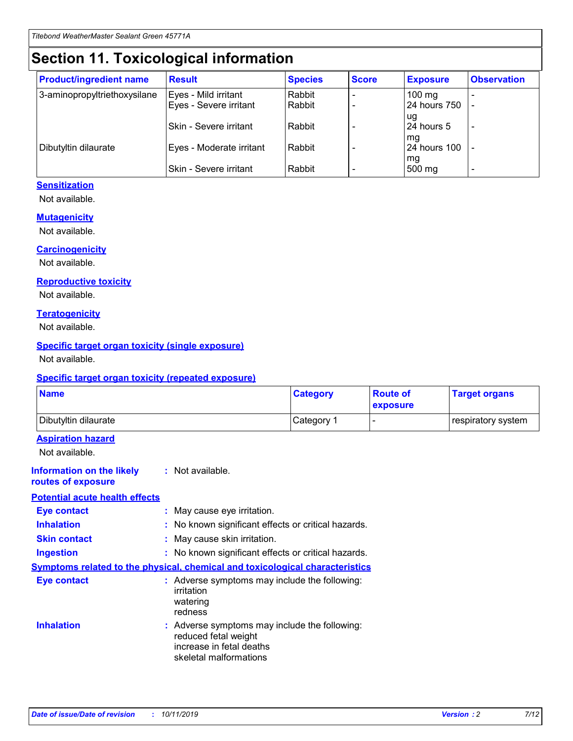## **Section 11. Toxicological information**

| <b>Product/ingredient name</b> | <b>Result</b>            | <b>Species</b> | <b>Score</b> | <b>Exposure</b>           | <b>Observation</b> |
|--------------------------------|--------------------------|----------------|--------------|---------------------------|--------------------|
| 3-aminopropyltriethoxysilane   | Eyes - Mild irritant     | Rabbit         |              | $100$ mg                  |                    |
|                                | Eyes - Severe irritant   | Rabbit         |              | 24 hours 750              |                    |
|                                |                          |                |              | ug                        |                    |
|                                | Skin - Severe irritant   | Rabbit         |              | 24 hours 5                | -                  |
| Dibutyltin dilaurate           | Eyes - Moderate irritant | Rabbit         |              | mq<br><b>24 hours 100</b> |                    |
|                                |                          |                |              | mg                        |                    |
|                                | Skin - Severe irritant   | Rabbit         |              | 500 mg                    |                    |

#### **Sensitization**

Not available.

#### **Mutagenicity**

Not available.

#### **Carcinogenicity**

Not available.

#### **Reproductive toxicity**

Not available.

#### **Teratogenicity**

Not available.

#### **Specific target organ toxicity (single exposure)**

Not available.

#### **Specific target organ toxicity (repeated exposure)**

| <b>Name</b>                                                                  |                                                                                                                             | <b>Category</b> | <b>Route of</b><br>exposure  | <b>Target organs</b> |
|------------------------------------------------------------------------------|-----------------------------------------------------------------------------------------------------------------------------|-----------------|------------------------------|----------------------|
| Dibutyltin dilaurate                                                         |                                                                                                                             | Category 1      | $\qquad \qquad \blacksquare$ | respiratory system   |
| <b>Aspiration hazard</b><br>Not available.                                   |                                                                                                                             |                 |                              |                      |
| <b>Information on the likely</b><br>routes of exposure                       | : Not available.                                                                                                            |                 |                              |                      |
| <b>Potential acute health effects</b>                                        |                                                                                                                             |                 |                              |                      |
| <b>Eye contact</b>                                                           | : May cause eye irritation.                                                                                                 |                 |                              |                      |
| <b>Inhalation</b>                                                            | : No known significant effects or critical hazards.                                                                         |                 |                              |                      |
| <b>Skin contact</b>                                                          | : May cause skin irritation.                                                                                                |                 |                              |                      |
| <b>Ingestion</b>                                                             | : No known significant effects or critical hazards.                                                                         |                 |                              |                      |
| Symptoms related to the physical, chemical and toxicological characteristics |                                                                                                                             |                 |                              |                      |
| <b>Eye contact</b>                                                           | : Adverse symptoms may include the following:<br>irritation<br>watering<br>redness                                          |                 |                              |                      |
| <b>Inhalation</b>                                                            | : Adverse symptoms may include the following:<br>reduced fetal weight<br>increase in fetal deaths<br>skeletal malformations |                 |                              |                      |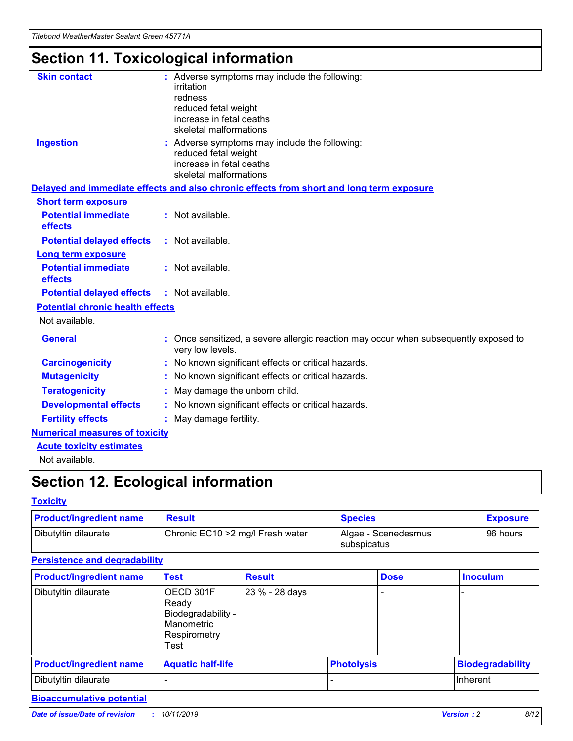## **Section 11. Toxicological information**

| <b>Skin contact</b>                     | : Adverse symptoms may include the following:<br>irritation<br>redness<br>reduced fetal weight<br>increase in fetal deaths<br>skeletal malformations |
|-----------------------------------------|------------------------------------------------------------------------------------------------------------------------------------------------------|
| <b>Ingestion</b>                        | : Adverse symptoms may include the following:<br>reduced fetal weight<br>increase in fetal deaths<br>skeletal malformations                          |
|                                         | Delayed and immediate effects and also chronic effects from short and long term exposure                                                             |
| <b>Short term exposure</b>              |                                                                                                                                                      |
| <b>Potential immediate</b><br>effects   | : Not available.                                                                                                                                     |
| <b>Potential delayed effects</b>        | : Not available.                                                                                                                                     |
| <b>Long term exposure</b>               |                                                                                                                                                      |
| <b>Potential immediate</b><br>effects   | : Not available.                                                                                                                                     |
| <b>Potential delayed effects</b>        | : Not available.                                                                                                                                     |
| <b>Potential chronic health effects</b> |                                                                                                                                                      |
| Not available.                          |                                                                                                                                                      |
| <b>General</b>                          | : Once sensitized, a severe allergic reaction may occur when subsequently exposed to<br>very low levels.                                             |
| <b>Carcinogenicity</b>                  | : No known significant effects or critical hazards.                                                                                                  |
| <b>Mutagenicity</b>                     | No known significant effects or critical hazards.                                                                                                    |
| <b>Teratogenicity</b>                   | May damage the unborn child.                                                                                                                         |
| <b>Developmental effects</b>            | No known significant effects or critical hazards.                                                                                                    |
| <b>Fertility effects</b>                | : May damage fertility.                                                                                                                              |
| <b>Numerical measures of toxicity</b>   |                                                                                                                                                      |
| <b>Acute toxicity estimates</b>         |                                                                                                                                                      |
|                                         |                                                                                                                                                      |

Not available.

## **Section 12. Ecological information**

#### **Toxicity**

| <b>Product/ingredient name</b> | <b>Result</b>                     | <b>Species</b>                       | <b>Exposure</b> |
|--------------------------------|-----------------------------------|--------------------------------------|-----------------|
| Dibutyltin dilaurate           | Chronic EC10 > 2 mg/l Fresh water | Algae - Scenedesmus<br>I subspicatus | l 96 hours      |

### **Persistence and degradability**

| <b>Product/ingredient name</b> | <b>Test</b>                                                                    | <b>Result</b>  |                   | <b>Dose</b> | <b>Inoculum</b>         |
|--------------------------------|--------------------------------------------------------------------------------|----------------|-------------------|-------------|-------------------------|
| Dibutyltin dilaurate           | OECD 301F<br>Ready<br>Biodegradability -<br>Manometric<br>Respirometry<br>Test | 23 % - 28 days |                   |             |                         |
| <b>Product/ingredient name</b> | <b>Aquatic half-life</b>                                                       |                | <b>Photolysis</b> |             | <b>Biodegradability</b> |
| Dibutyltin dilaurate           |                                                                                |                |                   |             | Inherent                |

### **Bioaccumulative potential**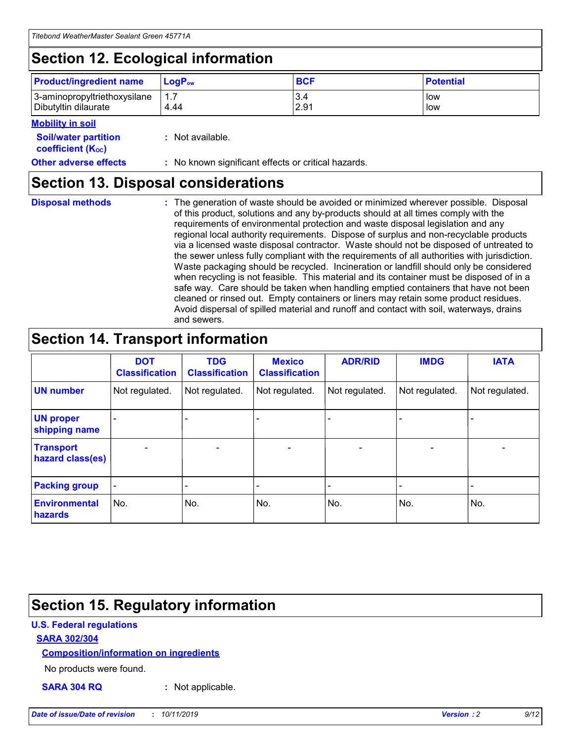## **Section 12. Ecological information**

| <b>Product/ingredient name</b> | $LoaPow$ | <b>BCF</b> | <b>Potential</b> |
|--------------------------------|----------|------------|------------------|
| 3-aminopropyltriethoxysilane   | 1.7      | 3.4        | low              |
| Dibutyltin dilaurate           | 4.44     | 2.91       | low              |

#### **Mobility in soil**

| <b>Soil/water partition</b><br>coefficient (K <sub>oc</sub> ) | : Not available.                                    |
|---------------------------------------------------------------|-----------------------------------------------------|
| <b>Other adverse effects</b>                                  | : No known significant effects or critical hazards. |

### **Section 13. Disposal considerations**

**Disposal methods :**

The generation of waste should be avoided or minimized wherever possible. Disposal of this product, solutions and any by-products should at all times comply with the requirements of environmental protection and waste disposal legislation and any regional local authority requirements. Dispose of surplus and non-recyclable products via a licensed waste disposal contractor. Waste should not be disposed of untreated to the sewer unless fully compliant with the requirements of all authorities with jurisdiction. Waste packaging should be recycled. Incineration or landfill should only be considered when recycling is not feasible. This material and its container must be disposed of in a safe way. Care should be taken when handling emptied containers that have not been cleaned or rinsed out. Empty containers or liners may retain some product residues. Avoid dispersal of spilled material and runoff and contact with soil, waterways, drains and sewers.

## **Section 14. Transport information**

|                                      | <b>DOT</b><br><b>Classification</b> | <b>TDG</b><br><b>Classification</b> | <b>Mexico</b><br><b>Classification</b> | <b>ADR/RID</b> | <b>IMDG</b>              | <b>IATA</b>              |
|--------------------------------------|-------------------------------------|-------------------------------------|----------------------------------------|----------------|--------------------------|--------------------------|
| <b>UN number</b>                     | Not regulated.                      | Not regulated.                      | Not regulated.                         | Not regulated. | Not regulated.           | Not regulated.           |
| <b>UN proper</b><br>shipping name    | $\blacksquare$                      |                                     |                                        |                |                          |                          |
| <b>Transport</b><br>hazard class(es) | $\blacksquare$                      | $\overline{\phantom{a}}$            | $\blacksquare$                         | $\blacksquare$ | $\overline{\phantom{a}}$ | $\overline{\phantom{0}}$ |
| <b>Packing group</b>                 | $\overline{\phantom{a}}$            | $\overline{\phantom{0}}$            | $\overline{\phantom{a}}$               | -              | $\overline{\phantom{0}}$ | $\overline{\phantom{a}}$ |
| <b>Environmental</b><br>hazards      | No.                                 | No.                                 | No.                                    | No.            | No.                      | No.                      |

## **Section 15. Regulatory information**

#### **U.S. Federal regulations**

#### **SARA 302/304**

#### **Composition/information on ingredients**

No products were found.

**SARA 304 RQ :** Not applicable.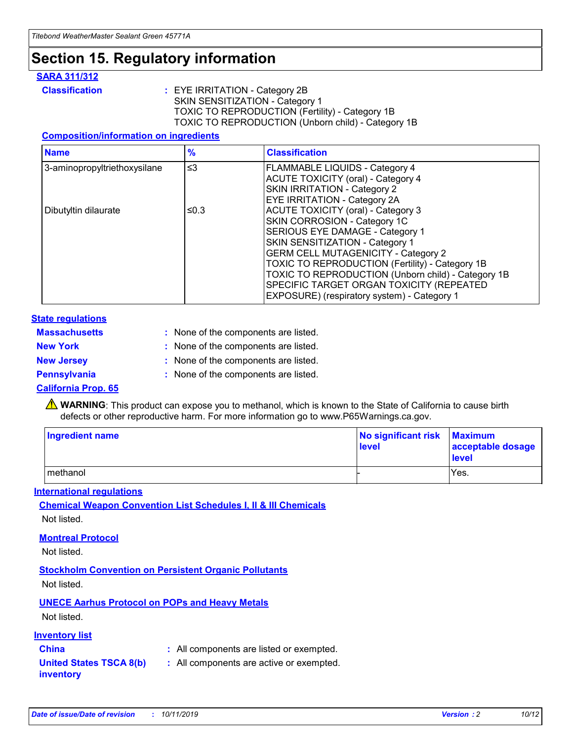## **Section 15. Regulatory information**

#### **SARA 311/312**

**Classification :** EYE IRRITATION - Category 2B SKIN SENSITIZATION - Category 1 TOXIC TO REPRODUCTION (Fertility) - Category 1B TOXIC TO REPRODUCTION (Unborn child) - Category 1B

#### **Composition/information on ingredients**

| <b>Name</b>                  | $\frac{9}{6}$ | <b>Classification</b>                                                                                            |
|------------------------------|---------------|------------------------------------------------------------------------------------------------------------------|
| 3-aminopropyltriethoxysilane | $\leq$ 3      | <b>FLAMMABLE LIQUIDS - Category 4</b><br><b>ACUTE TOXICITY (oral) - Category 4</b>                               |
|                              |               | SKIN IRRITATION - Category 2<br>EYE IRRITATION - Category 2A                                                     |
| Dibutyltin dilaurate         | ≤0.3          | ACUTE TOXICITY (oral) - Category 3<br>SKIN CORROSION - Category 1C                                               |
|                              |               | SERIOUS EYE DAMAGE - Category 1<br>SKIN SENSITIZATION - Category 1<br><b>GERM CELL MUTAGENICITY - Category 2</b> |
|                              |               | TOXIC TO REPRODUCTION (Fertility) - Category 1B<br>TOXIC TO REPRODUCTION (Unborn child) - Category 1B            |
|                              |               | SPECIFIC TARGET ORGAN TOXICITY (REPEATED<br>EXPOSURE) (respiratory system) - Category 1                          |

#### **State regulations**

| <b>Massachusetts</b> | : None of the components are listed. |
|----------------------|--------------------------------------|
| <b>New York</b>      | : None of the components are listed. |
| <b>New Jersey</b>    | : None of the components are listed. |
| <b>Pennsylvania</b>  | : None of the components are listed. |

#### **California Prop. 65**

**A** WARNING: This product can expose you to methanol, which is known to the State of California to cause birth defects or other reproductive harm. For more information go to www.P65Warnings.ca.gov.

| <b>Ingredient name</b> | No significant risk Maximum<br>level | acceptable dosage<br>level |
|------------------------|--------------------------------------|----------------------------|
| methanol               |                                      | Yes.                       |

#### **International regulations**

**Chemical Weapon Convention List Schedules I, II & III Chemicals** Not listed.

#### **Montreal Protocol**

Not listed.

**Stockholm Convention on Persistent Organic Pollutants**

Not listed.

#### **UNECE Aarhus Protocol on POPs and Heavy Metals**

Not listed.

#### **Inventory list**

### **China :** All components are listed or exempted.

**United States TSCA 8(b) inventory :** All components are active or exempted.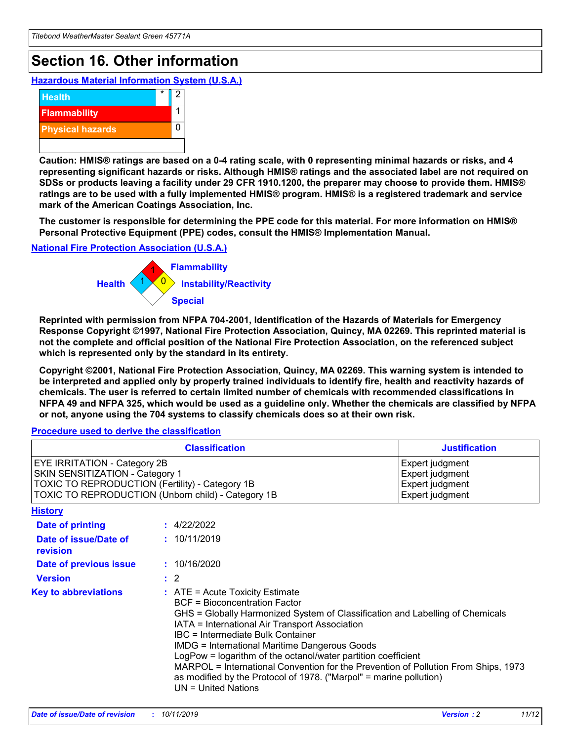## **Section 16. Other information**

**Hazardous Material Information System (U.S.A.)**



**Caution: HMIS® ratings are based on a 0-4 rating scale, with 0 representing minimal hazards or risks, and 4 representing significant hazards or risks. Although HMIS® ratings and the associated label are not required on SDSs or products leaving a facility under 29 CFR 1910.1200, the preparer may choose to provide them. HMIS® ratings are to be used with a fully implemented HMIS® program. HMIS® is a registered trademark and service mark of the American Coatings Association, Inc.**

**The customer is responsible for determining the PPE code for this material. For more information on HMIS® Personal Protective Equipment (PPE) codes, consult the HMIS® Implementation Manual.**

#### **National Fire Protection Association (U.S.A.)**



**Reprinted with permission from NFPA 704-2001, Identification of the Hazards of Materials for Emergency Response Copyright ©1997, National Fire Protection Association, Quincy, MA 02269. This reprinted material is not the complete and official position of the National Fire Protection Association, on the referenced subject which is represented only by the standard in its entirety.**

**Copyright ©2001, National Fire Protection Association, Quincy, MA 02269. This warning system is intended to be interpreted and applied only by properly trained individuals to identify fire, health and reactivity hazards of chemicals. The user is referred to certain limited number of chemicals with recommended classifications in NFPA 49 and NFPA 325, which would be used as a guideline only. Whether the chemicals are classified by NFPA or not, anyone using the 704 systems to classify chemicals does so at their own risk.**

#### **Procedure used to derive the classification**

| <b>Classification</b>                                                                                                                                                    |                                                                                                                                                                                                                                                                                                                                                                                                                                                                                                                                                               | <b>Justification</b>                                                     |
|--------------------------------------------------------------------------------------------------------------------------------------------------------------------------|---------------------------------------------------------------------------------------------------------------------------------------------------------------------------------------------------------------------------------------------------------------------------------------------------------------------------------------------------------------------------------------------------------------------------------------------------------------------------------------------------------------------------------------------------------------|--------------------------------------------------------------------------|
| EYE IRRITATION - Category 2B<br>SKIN SENSITIZATION - Category 1<br>TOXIC TO REPRODUCTION (Fertility) - Category 1B<br>TOXIC TO REPRODUCTION (Unborn child) - Category 1B |                                                                                                                                                                                                                                                                                                                                                                                                                                                                                                                                                               | Expert judgment<br>Expert judgment<br>Expert judgment<br>Expert judgment |
| <b>History</b>                                                                                                                                                           |                                                                                                                                                                                                                                                                                                                                                                                                                                                                                                                                                               |                                                                          |
| <b>Date of printing</b>                                                                                                                                                  | : 4/22/2022                                                                                                                                                                                                                                                                                                                                                                                                                                                                                                                                                   |                                                                          |
| Date of issue/Date of<br>revision                                                                                                                                        | : 10/11/2019                                                                                                                                                                                                                                                                                                                                                                                                                                                                                                                                                  |                                                                          |
| Date of previous issue                                                                                                                                                   | : 10/16/2020                                                                                                                                                                                                                                                                                                                                                                                                                                                                                                                                                  |                                                                          |
| <b>Version</b>                                                                                                                                                           | $\therefore$ 2                                                                                                                                                                                                                                                                                                                                                                                                                                                                                                                                                |                                                                          |
| <b>Key to abbreviations</b>                                                                                                                                              | $:$ ATE = Acute Toxicity Estimate<br><b>BCF</b> = Bioconcentration Factor<br>GHS = Globally Harmonized System of Classification and Labelling of Chemicals<br>IATA = International Air Transport Association<br>IBC = Intermediate Bulk Container<br><b>IMDG = International Maritime Dangerous Goods</b><br>LogPow = logarithm of the octanol/water partition coefficient<br>MARPOL = International Convention for the Prevention of Pollution From Ships, 1973<br>as modified by the Protocol of 1978. ("Marpol" = marine pollution)<br>UN = United Nations |                                                                          |